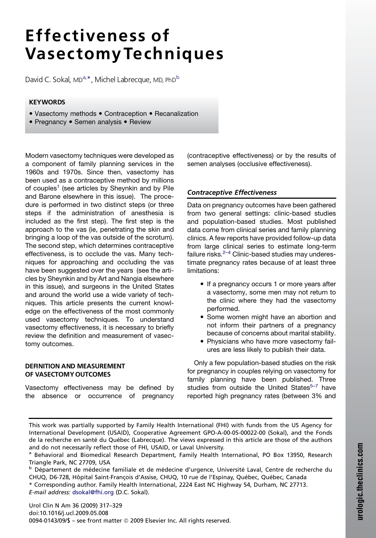# Effectiveness of Vasectomy Techniques

David C. Sokal, MD<sup>a,\*</sup>, Michel Labrecque, MD, PhD<sup>b</sup>

# **KEYWORDS**

- Vasectomy methods Contraception Recanalization
- Pregnancy Semen analysis Review

Modern vasectomy techniques were developed as a component of family planning services in the 1960s and 1970s. Since then, vasectomy has been used as a contraceptive method by millions of couples<sup>[1](#page-10-0)</sup> (see articles by Sheynkin and by Pile and Barone elsewhere in this issue). The procedure is performed in two distinct steps (or three steps if the administration of anesthesia is included as the first step). The first step is the approach to the vas (ie, penetrating the skin and bringing a loop of the vas outside of the scrotum). The second step, which determines contraceptive effectiveness, is to occlude the vas. Many techniques for approaching and occluding the vas have been suggested over the years (see the articles by Sheynkin and by Art and Nangia elsewhere in this issue), and surgeons in the United States and around the world use a wide variety of techniques. This article presents the current knowledge on the effectiveness of the most commonly used vasectomy techniques. To understand vasectomy effectiveness, it is necessary to briefly review the definition and measurement of vasectomy outcomes.

## DEFINITION AND MEASUREMENT OF VASECTOMY OUTCOMES

Vasectomy effectiveness may be defined by the absence or occurrence of pregnancy (contraceptive effectiveness) or by the results of semen analyses (occlusive effectiveness).

# Contraceptive Effectiveness

Data on pregnancy outcomes have been gathered from two general settings: clinic-based studies and population-based studies. Most published data come from clinical series and family planning clinics. A few reports have provided follow-up data from large clinical series to estimate long-term failure risks. $2-4$  Clinic-based studies may underestimate pregnancy rates because of at least three limitations:

- If a pregnancy occurs 1 or more years after a vasectomy, some men may not return to the clinic where they had the vasectomy performed.
- **•** Some women might have an abortion and not inform their partners of a pregnancy because of concerns about marital stability.
- Physicians who have more vasectomy failures are less likely to publish their data.

Only a few population-based studies on the risk for pregnancy in couples relying on vasectomy for family planning have been published. Three studies from outside the United States $5-7$  have reported high pregnancy rates (between 3% and

This work was partially supported by Family Health International (FHI) with funds from the US Agency for International Development (USAID), Cooperative Agreement GPO-A-00-05-00022-00 (Sokal), and the Fonds de la recherche en santé du Québec (Labrecque). The views expressed in this article are those of the authors and do not necessarily reflect those of FHI, USAID, or Laval University.

a Behavioral and Biomedical Research Department, Family Health International, PO Box 13950, Research Triangle Park, NC 27709, USA

<sup>&</sup>lt;sup>b</sup> Département de médecine familiale et de médecine d'urgence, Université Laval, Centre de recherche du CHUQ, D6-728, Hôpital Saint-François d'Assise, CHUQ, 10 rue de l'Espinay, Québec, Québec, Canada \* Corresponding author. Family Health International, 2224 East NC Highway 54, Durham, NC 27713. E-mail address: [dsokal@fhi.org](mailto:dsokal@fhi.org) (D.C. Sokal).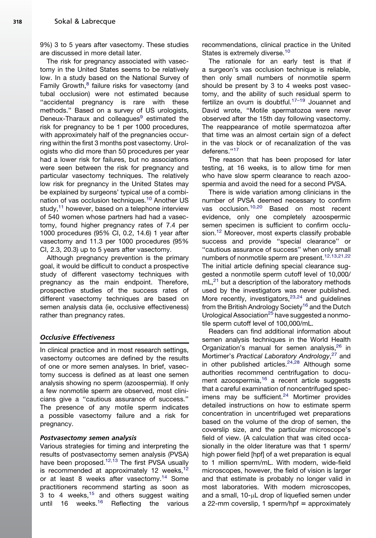9%) 3 to 5 years after vasectomy. These studies are discussed in more detail later.

The risk for pregnancy associated with vasectomy in the United States seems to be relatively low. In a study based on the National Survey of Family Growth, $<sup>8</sup>$  $<sup>8</sup>$  $<sup>8</sup>$  failure risks for vasectomy (and</sup> tubal occlusion) were not estimated because ''accidental pregnancy is rare with these methods.'' Based on a survey of US urologists, Deneux-Tharaux and colleagues<sup>[9](#page-10-0)</sup> estimated the risk for pregnancy to be 1 per 1000 procedures, with approximately half of the pregnancies occurring within the first 3 months post vasectomy. Urologists who did more than 50 procedures per year had a lower risk for failures, but no associations were seen between the risk for pregnancy and particular vasectomy techniques. The relatively low risk for pregnancy in the United States may be explained by surgeons' typical use of a combi-nation of vas occlusion techniques.<sup>[10](#page-10-0)</sup> Another US study, $11$  however, based on a telephone interview of 540 women whose partners had had a vasectomy, found higher pregnancy rates of 7.4 per 1000 procedures (95% CI, 0.2, 14.6) 1 year after vasectomy and 11.3 per 1000 procedures (95% CI, 2.3, 20.3) up to 5 years after vasectomy.

Although pregnancy prevention is the primary goal, it would be difficult to conduct a prospective study of different vasectomy techniques with pregnancy as the main endpoint. Therefore, prospective studies of the success rates of different vasectomy techniques are based on semen analysis data (ie, occlusive effectiveness) rather than pregnancy rates.

## Occlusive Effectiveness

In clinical practice and in most research settings, vasectomy outcomes are defined by the results of one or more semen analyses. In brief, vasectomy success is defined as at least one semen analysis showing no sperm (azoospermia). If only a few nonmotile sperm are observed, most clinicians give a ''cautious assurance of success.'' The presence of any motile sperm indicates a possible vasectomy failure and a risk for pregnancy.

## Postvasectomy semen analysis

Various strategies for timing and interpreting the results of postvasectomy semen analysis (PVSA) have been proposed.<sup>[12,13](#page-10-0)</sup> The first PVSA usually is recommended at approximately [12](#page-10-0) weeks, $12$ or at least 8 weeks after vasectomy.<sup>[14](#page-10-0)</sup> Some practitioners recommend starting as soon as  $3$  to 4 weeks,<sup>15</sup> and others suggest waiting until [16](#page-10-0) weeks.<sup>16</sup> Reflecting the various

recommendations, clinical practice in the United States is extremely diverse.<sup>[10](#page-10-0)</sup>

The rationale for an early test is that if a surgeon's vas occlusion technique is reliable, then only small numbers of nonmotile sperm should be present by 3 to 4 weeks post vasectomy, and the ability of such residual sperm to fertilize an ovum is doubtful.<sup>17-19</sup> Jouannet and David wrote, ''Motile spermatozoa were never observed after the 15th day following vasectomy. The reappearance of motile spermatozoa after that time was an almost certain sign of a defect in the vas block or of recanalization of the vas deferens.''[17](#page-10-0)

The reason that has been proposed for later testing, at 16 weeks, is to allow time for men who have slow sperm clearance to reach azoospermia and avoid the need for a second PVSA.

There is wide variation among clinicians in the number of PVSA deemed necessary to confirm vas occlusion.<sup>[10,20](#page-10-0)</sup> Based on most recent evidence, only one completely azoospermic semen specimen is sufficient to confirm occlu-sion.<sup>[12](#page-10-0)</sup> Moreover, most experts classify probable success and provide ''special clearance'' or ''cautious assurance of success'' when only small numbers of nonmotile sperm are present.<sup>[12,13,21,22](#page-10-0)</sup> The initial article defining special clearance suggested a nonmotile sperm cutoff level of 10,000/  $mL<sub>1</sub><sup>21</sup>$  $mL<sub>1</sub><sup>21</sup>$  $mL<sub>1</sub><sup>21</sup>$  but a description of the laboratory methods used by the investigators was never published. More recently, investigators, $23,24$  and guidelines from the British Andrology Society<sup>[16](#page-10-0)</sup> and the Dutch Urological Association<sup>[25](#page-11-0)</sup> have suggested a nonmotile sperm cutoff level of 100,000/mL.

Readers can find additional information about semen analysis techniques in the World Health Organization's manual for semen analysis,<sup>[26](#page-11-0)</sup> in Mortimer's *Practical Laboratory Andrology*, [27](#page-11-0) and in other published articles. $24,28$  Although some authorities recommend centrifugation to docu-ment azoospermia,<sup>[16](#page-10-0)</sup> a recent article suggests that a careful examination of noncentrifuged specimens may be sufficient. $24$  Mortimer provides detailed instructions on how to estimate sperm concentration in uncentrifuged wet preparations based on the volume of the drop of semen, the coverslip size, and the particular microscope's field of view. (A calculation that was cited occasionally in the older literature was that 1 sperm/ high power field [hpf] of a wet preparation is equal to 1 million sperm/mL. With modern, wide-field microscopes, however, the field of vision is larger and that estimate is probably no longer valid in most laboratories. With modern microscopes, and a small,  $10$ - $\mu$ L drop of liquefied semen under a 22-mm coverslip, 1 sperm/hpf  $=$  approximately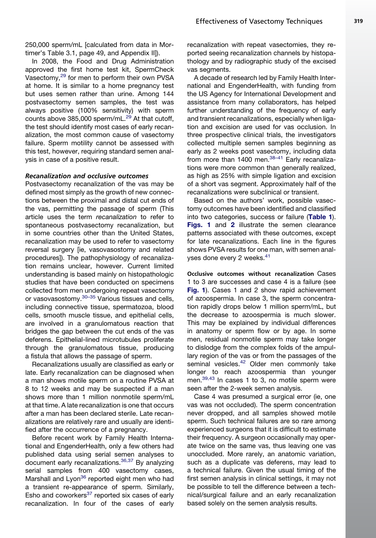250,000 sperm/mL [calculated from data in Mortimer's Table 3.1, page 49, and Appendix II]).

In 2008, the Food and Drug Administration approved the first home test kit, SpermCheck Vasectomy, $29$  for men to perform their own PVSA at home. It is similar to a home pregnancy test but uses semen rather than urine. Among 144 postvasectomy semen samples, the test was always positive (100% sensitivity) with sperm counts above 385,000 sperm/mL.<sup>[29](#page-11-0)</sup> At that cutoff, the test should identify most cases of early recanalization, the most common cause of vasectomy failure. Sperm motility cannot be assessed with this test, however, requiring standard semen analysis in case of a positive result.

#### Recanalization and occlusive outcomes

Postvasectomy recanalization of the vas may be defined most simply as the growth of new connections between the proximal and distal cut ends of the vas, permitting the passage of sperm (This article uses the term *recanalization* to refer to spontaneous postvasectomy recanalization, but in some countries other than the United States, recanalization may be used to refer to vasectomy reversal surgery [ie, vasovasostomy and related procedures]). The pathophysiology of recanalization remains unclear, however. Current limited understanding is based mainly on histopathologic studies that have been conducted on specimens collected from men undergoing repeat vasectomy or vasovasostomy.<sup>[30–35](#page-11-0)</sup> Various tissues and cells, including connective tissue, spermatozoa, blood cells, smooth muscle tissue, and epithelial cells, are involved in a granulomatous reaction that bridges the gap between the cut ends of the vas deferens. Epithelial-lined microtubules proliferate through the granulomatous tissue, producing a fistula that allows the passage of sperm.

Recanalizations usually are classified as early or late. Early recanalization can be diagnosed when a man shows motile sperm on a routine PVSA at 8 to 12 weeks and may be suspected if a man shows more than 1 million nonmotile sperm/mL at that time. A late recanalization is one that occurs after a man has been declared sterile. Late recanalizations are relatively rare and usually are identified after the occurrence of a pregnancy.

Before recent work by Family Health International and EngenderHealth, only a few others had published data using serial semen analyses to document early recanalizations.<sup>[36,37](#page-11-0)</sup> By analyzing serial samples from 400 vasectomy cases, Marshall and Lyon<sup>36</sup> reported eight men who had a transient re-appearance of sperm. Similarly, Esho and coworkers $37$  reported six cases of early recanalization. In four of the cases of early recanalization with repeat vasectomies, they reported seeing recanalization channels by histopathology and by radiographic study of the excised vas segments.

A decade of research led by Family Health International and EngenderHealth, with funding from the US Agency for International Development and assistance from many collaborators, has helped further understanding of the frequency of early and transient recanalizations, especially when ligation and excision are used for vas occlusion. In three prospective clinical trials, the investigators collected multiple semen samples beginning as early as 2 weeks post vasectomy, including data from more than 1400 men. $38-41$  Early recanalizations were more common than generally realized, as high as 25% with simple ligation and excision of a short vas segment. Approximately half of the recanalizations were subclinical or transient.

Based on the authors' work, possible vasectomy outcomes have been identified and classified into two categories, success or failure ([Table 1](#page-3-0)). [Figs. 1](#page-3-0) and [2](#page-4-0) illustrate the semen clearance patterns associated with these outcomes, except for late recanalizations. Each line in the figures shows PVSA results for one man, with semen analyses done every 2 weeks.<sup>41</sup>

Occlusive outcomes without recanalization Cases 1 to 3 are successes and case 4 is a failure (see [Fig. 1](#page-3-0)). Cases 1 and 2 show rapid achievement of azoospermia. In case 3, the sperm concentration rapidly drops below 1 million sperm/mL, but the decrease to azoospermia is much slower. This may be explained by individual differences in anatomy or sperm flow or by age. In some men, residual nonmotile sperm may take longer to dislodge from the complex folds of the ampullary region of the vas or from the passages of the seminal vesicles.<sup>[42](#page-11-0)</sup> Older men commonly take longer to reach azoospermia than younger men.<sup>[39,43](#page-11-0)</sup> In cases 1 to 3, no motile sperm were seen after the 2-week semen analysis.

Case 4 was presumed a surgical error (ie, one vas was not occluded). The sperm concentration never dropped, and all samples showed motile sperm. Such technical failures are so rare among experienced surgeons that it is difficult to estimate their frequency. A surgeon occasionally may operate twice on the same vas, thus leaving one vas unoccluded. More rarely, an anatomic variation, such as a duplicate vas deferens, may lead to a technical failure. Given the usual timing of the first semen analysis in clinical settings, it may not be possible to tell the difference between a technical/surgical failure and an early recanalization based solely on the semen analysis results.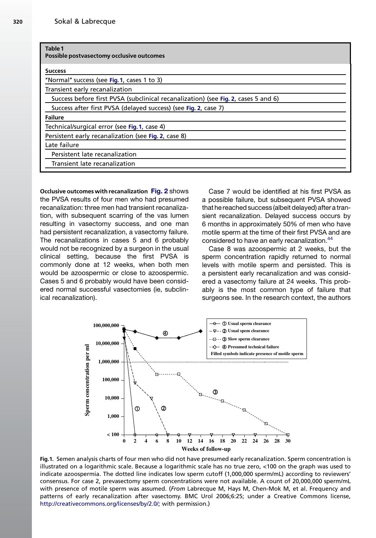<span id="page-3-0"></span>

| Table 1<br>Possible postvasectomy occlusive outcomes                               |
|------------------------------------------------------------------------------------|
| <b>Success</b>                                                                     |
| "Normal" success (see Fig. 1, cases 1 to 3)                                        |
| Transient early recanalization                                                     |
| Success before first PVSA (subclinical recanalization) (see Fig. 2, cases 5 and 6) |
| Success after first PVSA (delayed success) (see Fig. 2, case 7)                    |
| <b>Failure</b>                                                                     |
| Technical/surgical error (see Fig. 1, case 4)                                      |
| Persistent early recanalization (see Fig. 2, case 8)                               |
| Late failure                                                                       |
| Persistent late recanalization                                                     |
| Transient late recanalization                                                      |

Occlusive outcomes with recanalization [Fig. 2](#page-4-0) shows the PVSA results of four men who had presumed recanalization: three men had transient recanalization, with subsequent scarring of the vas lumen resulting in vasectomy success, and one man had persistent recanalization, a vasectomy failure. The recanalizations in cases 5 and 6 probably would not be recognized by a surgeon in the usual clinical setting, because the first PVSA is commonly done at 12 weeks, when both men would be azoospermic or close to azoospermic. Cases 5 and 6 probably would have been considered normal successful vasectomies (ie, subclinical recanalization).

Case 7 would be identified at his first PVSA as a possible failure, but subsequent PVSA showed that he reached success (albeit delayed) after a transient recanalization. Delayed success occurs by 6 months in approximately 50% of men who have motile sperm at the time of their first PVSA and are considered to have an early recanalization.<sup>[44](#page-11-0)</sup>

Case 8 was azoospermic at 2 weeks, but the sperm concentration rapidly returned to normal levels with motile sperm and persisted. This is a persistent early recanalization and was considered a vasectomy failure at 24 weeks. This probably is the most common type of failure that surgeons see. In the research context, the authors



Fig.1. Semen analysis charts of four men who did not have presumed early recanalization. Sperm concentration is illustrated on a logarithmic scale. Because a logarithmic scale has no true zero, <100 on the graph was used to indicate azoospermia. The dotted line indicates low sperm cutoff (1,000,000 sperm/mL) according to reviewers' consensus. For case 2, prevasectomy sperm concentrations were not available. A count of 20,000,000 sperm/mL with presence of motile sperm was assumed. (From Labrecque M, Hays M, Chen-Mok M, et al. Frequency and patterns of early recanalization after vasectomy. BMC Urol 2006;6:25; under a Creative Commons license, <http://creativecommons.org/licenses/by/2.0/>; with permission.)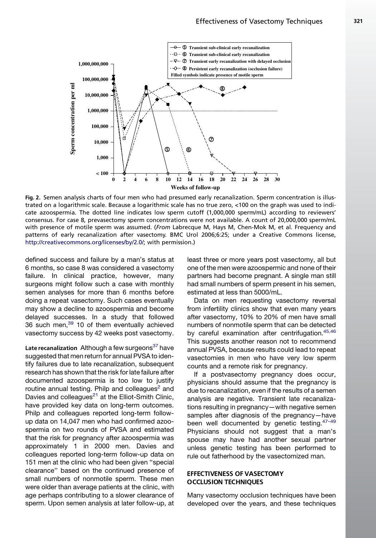<span id="page-4-0"></span>

Fig. 2. Semen analysis charts of four men who had presumed early recanalization. Sperm concentration is illustrated on a logarithmic scale. Because a logarithmic scale has no true zero, <100 on the graph was used to indicate azoospermia. The dotted line indicates low sperm cutoff (1,000,000 sperm/mL) according to reviewers' consensus. For case 8, prevasectomy sperm concentrations were not available. A count of 20,000,000 sperm/mL with presence of motile sperm was assumed. (From Labrecque M, Hays M, Chen-Mok M, et al. Frequency and patterns of early recanalization after vasectomy. BMC Urol 2006;6:25; under a Creative Commons license, [http://creativecommons.org/licenses/by/2.0/;](http://creativecommons.org/licenses/by/2.0/) with permission.)

defined success and failure by a man's status at 6 months, so case 8 was considered a vasectomy failure. In clinical practice, however, many surgeons might follow such a case with monthly semen analyses for more than 6 months before doing a repeat vasectomy. Such cases eventually may show a decline to azoospermia and become delayed successes. In a study that followed 36 such men, $39$  10 of them eventually achieved vasectomy success by 42 weeks post vasectomy.

Late recanalization Although a few surgeons $37$  have suggested that men return for annual PVSA to identify failures due to late recanalization, subsequent research has shown that the risk for late failure after documented azoospermia is too low to justify routine annual testing. Philp and colleagues $2$  and Davies and colleagues $^{21}$  $^{21}$  $^{21}$  at the Elliot-Smith Clinic, have provided key data on long-term outcomes. Philp and colleagues reported long-term followup data on 14,047 men who had confirmed azoospermia on two rounds of PVSA and estimated that the risk for pregnancy after azoospermia was approximately 1 in 2000 men. Davies and colleagues reported long-term follow-up data on 151 men at the clinic who had been given ''special clearance'' based on the continued presence of small numbers of nonmotile sperm. These men were older than average patients at the clinic, with age perhaps contributing to a slower clearance of sperm. Upon semen analysis at later follow-up, at

least three or more years post vasectomy, all but one of the men were azoospermic and none of their partners had become pregnant. A single man still had small numbers of sperm present in his semen, estimated at less than 5000/mL.

Data on men requesting vasectomy reversal from infertility clinics show that even many years after vasectomy, 10% to 20% of men have small numbers of nonmotile sperm that can be detected by careful examination after centrifugation.<sup>[45,46](#page-11-0)</sup> This suggests another reason not to recommend annual PVSA, because results could lead to repeat vasectomies in men who have very low sperm counts and a remote risk for pregnancy.

If a postvasectomy pregnancy does occur, physicians should assume that the pregnancy is due to recanalization, even if the results of a semen analysis are negative. Transient late recanalizations resulting in pregnancy—with negative semen samples after diagnosis of the pregnancy—have been well documented by genetic testing. 47-49 Physicians should not suggest that a man's spouse may have had another sexual partner unless genetic testing has been performed to rule out fatherhood by the vasectomized man.

#### EFFECTIVENESS OF VASECTOMY OCCLUSION TECHNIQUES

Many vasectomy occlusion techniques have been developed over the years, and these techniques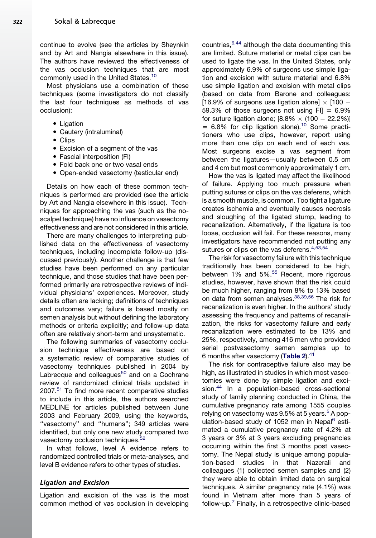continue to evolve (see the articles by Sheynkin and by Art and Nangia elsewhere in this issue). The authors have reviewed the effectiveness of the vas occlusion techniques that are most commonly used in the United States.<sup>[10](#page-10-0)</sup>

Most physicians use a combination of these techniques (some investigators do not classify the last four techniques as methods of vas occlusion):

- Ligation
- Cautery (intraluminal)
- Clips
- Excision of a segment of the vas
- Fascial interposition (FI)
- Fold back one or two vasal ends
- Open-ended vasectomy (testicular end)

Details on how each of these common techniques is performed are provided (see the article by Art and Nangia elsewhere in this issue). Techniques for approaching the vas (such as the noscalpel technique) have no influence on vasectomy effectiveness and are not considered in this article.

There are many challenges to interpreting published data on the effectiveness of vasectomy techniques, including incomplete follow-up (discussed previously). Another challenge is that few studies have been performed on any particular technique, and those studies that have been performed primarily are retrospective reviews of individual physicians' experiences. Moreover, study details often are lacking; definitions of techniques and outcomes vary; failure is based mostly on semen analysis but without defining the laboratory methods or criteria explicitly; and follow-up data often are relatively short-term and unsystematic.

The following summaries of vasectomy occlusion technique effectiveness are based on a systematic review of comparative studies of vasectomy techniques published in 2004 by Labrecque and colleagues<sup>[50](#page-11-0)</sup> and on a Cochrane review of randomized clinical trials updated in 2007.<sup>[51](#page-11-0)</sup> To find more recent comparative studies to include in this article, the authors searched MEDLINE for articles published between June 2003 and February 2009, using the keywords, "vasectomy" and "humans"; 349 articles were identified, but only one new study compared two vasectomy occlusion techniques.<sup>[52](#page-11-0)</sup>

In what follows, level A evidence refers to randomized controlled trials or meta-analyses, and level B evidence refers to other types of studies.

# Ligation and Excision

Ligation and excision of the vas is the most common method of vas occlusion in developing countries,  $6,44$  although the data documenting this are limited. Suture material or metal clips can be used to ligate the vas. In the United States, only approximately 6.9% of surgeons use simple ligation and excision with suture material and 6.8% use simple ligation and excision with metal clips (based on data from Barone and colleagues: [16.9% of surgeons use ligation alone]  $\times$  [100 – 59.3% of those surgeons not using  $FI$  = 6.9% for suture ligation alone;  $[8.8\% \times (100 - 22.2\%)]$  $= 6.8\%$  for clip ligation alone).<sup>[10](#page-10-0)</sup> Some practitioners who use clips, however, report using more than one clip on each end of each vas. Most surgeons excise a vas segment from between the ligatures—usually between 0.5 cm and 4 cm but most commonly approximately 1 cm.

How the vas is ligated may affect the likelihood of failure. Applying too much pressure when putting sutures or clips on the vas deferens, which is a smooth muscle, is common. Too tight a ligature creates ischemia and eventually causes necrosis and sloughing of the ligated stump, leading to recanalization. Alternatively, if the ligature is too loose, occlusion will fail. For these reasons, many investigators have recommended not putting any sutures or clips on the vas deferens. [4,53,54](#page-10-0)

The risk for vasectomy failure with this technique traditionally has been considered to be high, between 1% and 5%.<sup>[55](#page-11-0)</sup> Recent, more rigorous studies, however, have shown that the risk could be much higher, ranging from 8% to 13% based on data from semen analyses.<sup>[38,39,56](#page-11-0)</sup> The risk for recanalization is even higher. In the authors' study assessing the frequency and patterns of recanalization, the risks for vasectomy failure and early recanalization were estimated to be 13% and 25%, respectively, among 416 men who provided serial postvasectomy semen samples up to 6 months after vasectomy ([Table 2](#page-6-0)). $41$ 

The risk for contraceptive failure also may be high, as illustrated in studies in which most vasectomies were done by simple ligation and excision.[44](#page-11-0) In a population-based cross-sectional study of family planning conducted in China, the cumulative pregnancy rate among 1555 couples relying on vasectomy was  $9.5\%$  $9.5\%$  $9.5\%$  at 5 years.<sup>5</sup> A population-based study of 1052 men in Nepal $6$  estimated a cumulative pregnancy rate of 4.2% at 3 years or 3% at 3 years excluding pregnancies occurring within the first 3 months post vasectomy. The Nepal study is unique among population-based studies in that Nazerali and colleagues (1) collected semen samples and (2) they were able to obtain limited data on surgical techniques. A similar pregnancy rate (4.1%) was found in Vietnam after more than 5 years of follow-up.[7](#page-10-0) Finally, in a retrospective clinic-based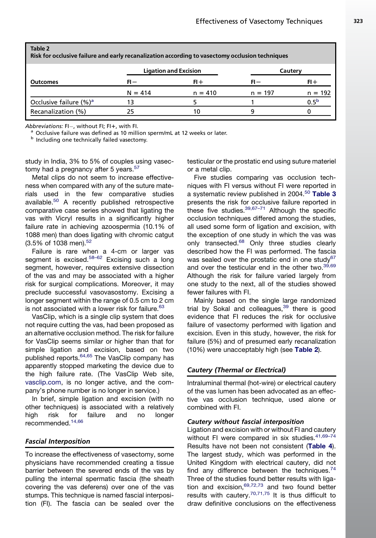<span id="page-6-0"></span>

| Table 2<br>Risk for occlusive failure and early recanalization according to vasectomy occlusion techniques |           |                              |           |                |  |  |  |
|------------------------------------------------------------------------------------------------------------|-----------|------------------------------|-----------|----------------|--|--|--|
|                                                                                                            |           | <b>Ligation and Excision</b> | Cautery   |                |  |  |  |
| <b>Outcomes</b>                                                                                            | $F1 -$    | $F1+$                        | $F =$     | FI+            |  |  |  |
|                                                                                                            | $N = 414$ | $n = 410$                    | $n = 197$ | $n = 192$      |  |  |  |
| Occlusive failure (%) <sup>a</sup>                                                                         |           |                              |           | 0 <sup>b</sup> |  |  |  |
| Recanalization (%)                                                                                         | つら        |                              |           |                |  |  |  |

Abbreviations: FI-, without FI; FI+, with FI.<br>
<sup>a</sup> Occlusive failure was defined as 10 million sperm/mL at 12 weeks or later.<br>
<sup>b</sup> Including one technically failed vasectomy.

study in India, 3% to 5% of couples using vasec-tomy had a pregnancy after 5 years.<sup>[57](#page-11-0)</sup>

Metal clips do not seem to increase effectiveness when compared with any of the suture materials used in the few comparative studies available.[50](#page-11-0) A recently published retrospective comparative case series showed that ligating the vas with Vicryl results in a significantly higher failure rate in achieving azoospermia (10.1% of 1088 men) than does ligating with chromic catgut (3.5% of 1038 men).<sup>[52](#page-11-0)</sup>

Failure is rare when a 4-cm or larger vas segment is excised. $58-62$  Excising such a long segment, however, requires extensive dissection of the vas and may be associated with a higher risk for surgical complications. Moreover, it may preclude successful vasovasostomy. Excising a longer segment within the range of 0.5 cm to 2 cm is not associated with a lower risk for failure.  $63$ 

VasClip, which is a single clip system that does not require cutting the vas, had been proposed as an alternative occlusion method. The risk for failure for VasClip seems similar or higher than that for simple ligation and excision, based on two published reports.<sup>[64,65](#page-12-0)</sup> The VasClip company has apparently stopped marketing the device due to the high failure rate. (The VasClip Web site, [vasclip.com,](http://vasclip.com) is no longer active, and the company's phone number is no longer in service.)

In brief, simple ligation and excision (with no other techniques) is associated with a relatively high risk for failure and no longer recommended.[14,66](#page-10-0)

#### Fascial Interposition

To increase the effectiveness of vasectomy, some physicians have recommended creating a tissue barrier between the severed ends of the vas by pulling the internal spermatic fascia (the sheath covering the vas deferens) over one of the vas stumps. This technique is named fascial interposition (FI). The fascia can be sealed over the testicular or the prostatic end using suture materiel or a metal clip.

Five studies comparing vas occlusion techniques with FI versus without FI were reported in a systematic review published in 2004.<sup>[50](#page-11-0)</sup> [Table 3](#page-7-0) presents the risk for occlusive failure reported in these five studies. $39,67-71$  Although the specific occlusion techniques differed among the studies, all used some form of ligation and excision, with the exception of one study in which the vas was only transected.<sup>[68](#page-12-0)</sup> Only three studies clearly described how the FI was performed. The fascia was sealed over the prostatic end in one study<sup>[67](#page-12-0)</sup> and over the testicular end in the other two.<sup>[39,69](#page-11-0)</sup> Although the risk for failure varied largely from one study to the next, all of the studies showed fewer failures with FI.

Mainly based on the single large randomized trial by Sokal and colleagues, $39$  there is good evidence that FI reduces the risk for occlusive failure of vasectomy performed with ligation and excision. Even in this study, however, the risk for failure (5%) and of presumed early recanalization (10%) were unacceptably high (see Table 2).

#### Cautery (Thermal or Electrical)

Intraluminal thermal (hot-wire) or electrical cautery of the vas lumen has been advocated as an effective vas occlusion technique, used alone or combined with FI.

#### Cautery without fascial interposition

Ligation and excision with or without FI and cautery without FI were compared in six studies.  $41,69-74$ Results have not been not consistent ([Table 4](#page-7-0)). The largest study, which was performed in the United Kingdom with electrical cautery, did not find any difference between the techniques. $74$ Three of the studies found better results with ligation and excision,  $69,72,73$  and two found better results with cautery.<sup>[70,71,75](#page-12-0)</sup> It is thus difficult to draw definitive conclusions on the effectiveness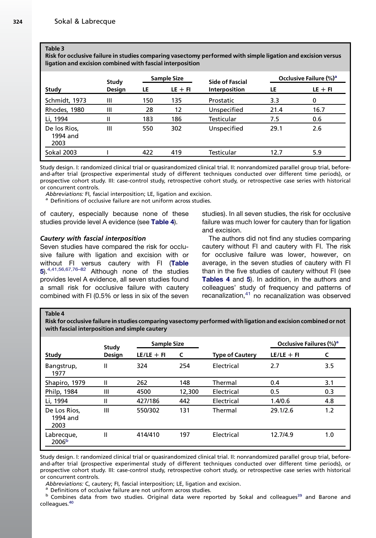#### <span id="page-7-0"></span>Table 3

Risk for occlusive failure in studies comparing vasectomy performed with simple ligation and excision versus ligation and excision combined with fascial interposition

|                                  | Study         | <b>Sample Size</b> |           | <b>Side of Fascial</b> | Occlusive Failure (%) <sup>a</sup> |           |
|----------------------------------|---------------|--------------------|-----------|------------------------|------------------------------------|-----------|
| <b>Study</b>                     | <b>Design</b> | LE                 | $LE + Fl$ | Interposition          | LE                                 | $LE + Fl$ |
| Schmidt, 1973                    | Ш             | 150                | 135       | Prostatic              | 3.3                                | 0         |
| Rhodes, 1980                     | Ш             | 28                 | 12        | Unspecified            | 21.4                               | 16.7      |
| Li, 1994                         | н             | 183                | 186       | Testicular             | 7.5                                | 0.6       |
| De los Rios,<br>1994 and<br>2003 | Ш             | 550                | 302       | Unspecified            | 29.1                               | 2.6       |
| Sokal 2003                       |               | 422                | 419       | Testicular             | 12.7                               | 5.9       |

Study design. I: randomized clinical trial or quasirandomized clinical trial. II: nonrandomized parallel group trial, beforeand-after trial (prospective experimental study of different techniques conducted over different time periods), or prospective cohort study. III: case-control study, retrospective cohort study, or retrospective case series with historical or concurrent controls.<br>Abbreviations: FI, fascial interposition; LE, ligation and excision.

<sup>a</sup> Definitions of occlusive failure are not uniform across studies.

of cautery, especially because none of these studies provide level A evidence (see Table 4).

#### Cautery with fascial interposition

Seven studies have compared the risk for occlusive failure with ligation and excision with or without FI versus cautery with FI ([Table](#page-8-0)  $5$ ).  $4,41,56,67,76-82$  Although none of the studies provides level A evidence, all seven studies found a small risk for occlusive failure with cautery combined with FI (0.5% or less in six of the seven studies). In all seven studies, the risk for occlusive failure was much lower for cautery than for ligation and excision.

The authors did not find any studies comparing cautery without FI and cautery with FI. The risk for occlusive failure was lower, however, on average, in the seven studies of cautery with FI than in the five studies of cautery without FI (see Tables 4 and [5](#page-8-0)). In addition, in the authors and colleagues' study of frequency and patterns of recanalization,[41](#page-11-0) no recanalization was observed

#### Table 4

Risk for occlusive failure in studies comparing vasectomy performed with ligation and excision combined or not with fascial interposition and simple cautery

|                                  | Study         | <b>Sample Size</b> |        |                        | <b>Occlusive Failures (%)</b> <sup>a</sup> |     |
|----------------------------------|---------------|--------------------|--------|------------------------|--------------------------------------------|-----|
| Study                            | <b>Design</b> | $LE/LE + FI$       | C      | <b>Type of Cautery</b> | $LE/LE + FI$                               | C   |
| Bangstrup,<br>1977               | Ш             | 324                | 254    | Electrical             | 2.7                                        | 3.5 |
| Shapiro, 1979                    | Ш             | 262                | 148    | Thermal                | 0.4                                        | 3.1 |
| Philp, 1984                      | Ш             | 4500               | 12,300 | Electrical             | 0.5                                        | 0.3 |
| Li. 1994                         | Ш             | 427/186            | 442    | Electrical             | 1.4/0.6                                    | 4.8 |
| De Los Rios,<br>1994 and<br>2003 | Ш             | 550/302            | 131    | Thermal                | 29.1/2.6                                   | 1.2 |
| Labrecque,<br>2006 <sup>b</sup>  | Ш             | 414/410            | 197    | Electrical             | 12.7/4.9                                   | 1.0 |

Study design. I: randomized clinical trial or quasirandomized clinical trial. II: nonrandomized parallel group trial, beforeand-after trial (prospective experimental study of different techniques conducted over different time periods), or prospective cohort study. III: case-control study, retrospective cohort study, or retrospective case series with historical or concurrent controls.<br>Abbreviations: C, cautery; Fl, fascial interposition; LE, ligation and excision.

<sup>a</sup> Definitions of occlusive failure are not uniform across studies.<br><sup>b</sup> Combines data from two studies. Original data were reported by Sokal and colleagues<sup>[39](#page-11-0)</sup> and Barone and colleagues.[40](#page-11-0)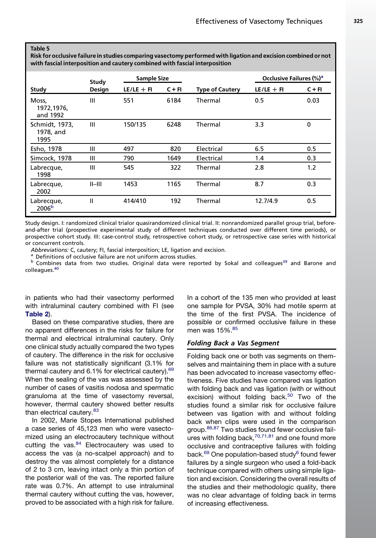<span id="page-8-0"></span>Table 5

Risk for occlusive failure in studies comparing vasectomy performed with ligation and excision combined or not with fascial interposition and cautery combined with fascial interposition

|                                     | Study     | <b>Sample Size</b> |          |                        | Occlusive Failures (%) <sup>a</sup> |             |
|-------------------------------------|-----------|--------------------|----------|------------------------|-------------------------------------|-------------|
| Study                               | Design    | $LE/LE + FI$       | $C + FI$ | <b>Type of Cautery</b> | $LE/LE + Fl$                        | $C + FI$    |
| Moss.<br>1972,1976,<br>and 1992     | Ш         | 551                | 6184     | Thermal                | 0.5                                 | 0.03        |
| Schmidt, 1973,<br>1978, and<br>1995 | III       | 150/135            | 6248     | Thermal                | 3.3                                 | $\mathbf 0$ |
| Esho, 1978                          | Ш         | 497                | 820      | Electrical             | 6.5                                 | 0.5         |
| Simcock, 1978                       | Ш         | 790                | 1649     | Electrical             | 1.4                                 | 0.3         |
| Labrecque,<br>1998                  | III       | 545                | 322      | Thermal                | 2.8                                 | 1.2         |
| Labrecque,<br>2002                  | $II$ -III | 1453               | 1165     | Thermal                | 8.7                                 | 0.3         |
| Labrecque,<br>2006 <sup>b</sup>     | Ш         | 414/410            | 192      | Thermal                | 12.7/4.9                            | 0.5         |

Study design. I: randomized clinical trialor quasirandomized clinical trial. II: nonrandomized parallel group trial, beforeand-after trial (prospective experimental study of different techniques conducted over different time periods), or prospective cohort study. III: case-control study, retrospective cohort study, or retrospective case series with historical or concurrent controls.

Abbreviations: C, cautery; FI, fascial interposition; LE, ligation and excision.<br><sup>a</sup> Definitions of occlusive failure are not uniform across studies.<br><sup>b</sup> Combines data from two studies. Original data were reported by Sokal colleagues.<sup>[40](#page-11-0)</sup>

in patients who had their vasectomy performed with intraluminal cautery combined with FI (see [Table 2](#page-6-0)).

Based on these comparative studies, there are no apparent differences in the risks for failure for thermal and electrical intraluminal cautery. Only one clinical study actually compared the two types of cautery. The difference in the risk for occlusive failure was not statistically significant (3.1% for thermal cautery and  $6.1\%$  for electrical cautery).<sup>[69](#page-12-0)</sup> When the sealing of the vas was assessed by the number of cases of vasitis nodosa and spermatic granuloma at the time of vasectomy reversal, however, thermal cautery showed better results than electrical cautery.<sup>[83](#page-12-0)</sup>

In 2002, Marie Stopes International published a case series of 45,123 men who were vasectomized using an electrocautery technique without cutting the vas. $84$  Electrocautery was used to access the vas (a no-scalpel approach) and to destroy the vas almost completely for a distance of 2 to 3 cm, leaving intact only a thin portion of the posterior wall of the vas. The reported failure rate was 0.7%. An attempt to use intraluminal thermal cautery without cutting the vas, however, proved to be associated with a high risk for failure. In a cohort of the 135 men who provided at least one sample for PVSA, 30% had motile sperm at the time of the first PVSA. The incidence of possible or confirmed occlusive failure in these men was 15%.<sup>85</sup>

#### Folding Back a Vas Segment

Folding back one or both vas segments on themselves and maintaining them in place with a suture has been advocated to increase vasectomy effectiveness. Five studies have compared vas ligation with folding back and vas ligation (with or without excision) without folding back.<sup>[50](#page-11-0)</sup> Two of the studies found a similar risk for occlusive failure between vas ligation with and without folding back when clips were used in the comparison group.[86,87](#page-12-0) Two studies found fewer occlusive failures with folding back, $70,71,81$  and one found more occlusive and contraceptive failures with folding back. $69$  One population-based study $6$  found fewer failures by a single surgeon who used a fold-back technique compared with others using simple ligation and excision. Considering the overall results of the studies and their methodologic quality, there was no clear advantage of folding back in terms of increasing effectiveness.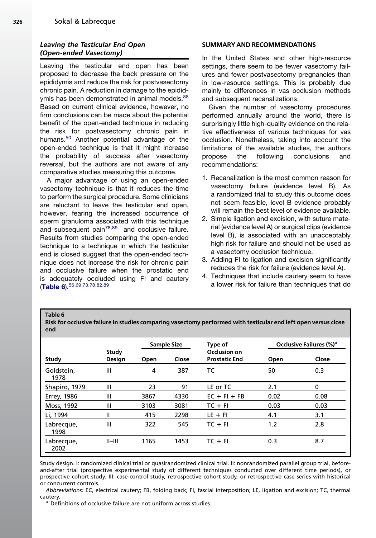# Leaving the Testicular End Open (Open-ended Vasectomy)

Leaving the testicular end open has been proposed to decrease the back pressure on the epididymis and reduce the risk for postvasectomy chronic pain. A reduction in damage to the epidid-ymis has been demonstrated in animal models.<sup>[88](#page-12-0)</sup> Based on current clinical evidence, however, no firm conclusions can be made about the potential benefit of the open-ended technique in reducing the risk for postvasectomy chronic pain in humans[.50](#page-11-0) Another potential advantage of the open-ended technique is that it might increase the probability of success after vasectomy reversal, but the authors are not aware of any comparative studies measuring this outcome.

A major advantage of using an open-ended vasectomy technique is that it reduces the time to perform the surgical procedure. Some clinicians are reluctant to leave the testicular end open, however, fearing the increased occurrence of sperm granuloma associated with this technique and subsequent pain<sup>[78,89](#page-12-0)</sup> and occlusive failure. Results from studies comparing the open-ended technique to a technique in which the testicular end is closed suggest that the open-ended technique does not increase the risk for chronic pain and occlusive failure when the prostatic end is adequately occluded using FI and cautery (Table 6)[.56,69,73,78,82,89](#page-11-0)

#### SUMMARYAND RECOMMENDATIONS

In the United States and other high-resource settings, there seem to be fewer vasectomy failures and fewer postvasectomy pregnancies than in low-resource settings. This is probably due mainly to differences in vas occlusion methods and subsequent recanalizations.

Given the number of vasectomy procedures performed annually around the world, there is surprisingly little high-quality evidence on the relative effectiveness of various techniques for vas occlusion. Nonetheless, taking into account the limitations of the available studies, the authors propose the following conclusions and recommendations:

- 1. Recanalization is the most common reason for vasectomy failure (evidence level B). As a randomized trial to study this outcome does not seem feasible, level B evidence probably will remain the best level of evidence available.
- 2. Simple ligation and excision, with suture material (evidence level A) or surgical clips (evidence level B), is associated with an unacceptably high risk for failure and should not be used as a vasectomy occlusion technique.
- 3. Adding FI to ligation and excision significantly reduces the risk for failure (evidence level A).
- 4. Techniques that include cautery seem to have a lower risk for failure than techniques that do

Table 6

Risk for occlusive failure in studies comparing vasectomy performed with testicular end left open versus close end

| Study              | Study<br><b>Design</b> | <b>Sample Size</b> |       | Type of                              | <b>Occlusive Failures (%)</b> <sup>a</sup> |       |
|--------------------|------------------------|--------------------|-------|--------------------------------------|--------------------------------------------|-------|
|                    |                        | Open               | Close | Occlusion on<br><b>Prostatic End</b> | Open                                       | Close |
| Goldstein.<br>1978 | Ш                      | 4                  | 387   | ТC                                   | 50                                         | 0.3   |
| Shapiro, 1979      | Ш                      | 23                 | 91    | LE or TC                             | 2.1                                        | 0     |
| Errey, 1986        | Ш                      | 3867               | 4330  | $EC + FI + FB$                       | 0.02                                       | 0.08  |
| Moss, 1992         | Ш                      | 3103               | 3081  | $TC + FI$                            | 0.03                                       | 0.03  |
| Li, 1994           | Ш                      | 415                | 2298  | $LE + FI$                            | 4.1                                        | 3.1   |
| Labrecque,<br>1998 | Ш                      | 322                | 545   | $TC + FI$                            | 1.2                                        | 2.8   |
| Labrecque,<br>2002 | $II$ -III              | 1165               | 1453  | $TC + FI$                            | 0.3                                        | 8.7   |

Study design. I: randomized clinical trial or quasirandomized clinical trial. II: nonrandomized parallel group trial, beforeand-after trial (prospective experimental study of different techniques conducted over different time periods), or prospective cohort study. III: case-control study, retrospective cohort study, or retrospective case series with historical or concurrent controls.

Abbreviations: EC, electrical cautery; FB, folding back; FI, fascial interposition; LE, ligation and excision; TC, thermal cautery.<br><sup>a</sup> Definitions of occlusive failure are not uniform across studies.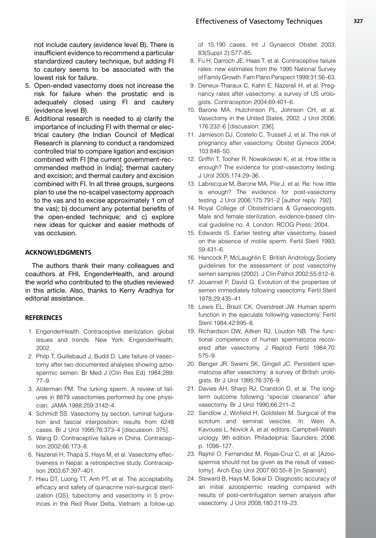<span id="page-10-0"></span>not include cautery (evidence level B). There is insufficient evidence to recommend a particular standardized cautery technique, but adding FI to cautery seems to be associated with the lowest risk for failure.

- 5. Open-ended vasectomy does not increase the risk for failure when the prostatic end is adequately closed using FI and cautery (evidence level B).
- 6. Additional research is needed to a) clarify the importance of including FI with thermal or electrical cautery (the Indian Council of Medical Research is planning to conduct a randomized controlled trial to compare ligation and excision combined with FI [the current government-recommended method in India]; thermal cautery and excision; and thermal cautery and excision combined with FI. In all three groups, surgeons plan to use the no-scalpel vasectomy approach to the vas and to excise approximately 1 cm of the vas); b) document any potential benefits of the open-ended technique; and c) explore new ideas for quicker and easier methods of vas occlusion.

# ACKNOWLEDGMENTS

The authors thank their many colleagues and coauthors at FHI, EngenderHealth, and around the world who contributed to the studies reviewed in this article. Also, thanks to Kerry Aradhya for editorial assistance.

## **REFERENCES**

- 1. EngenderHealth. Contraceptive sterilization: global issues and trends. New York: EngenderHealth; 2002.
- 2. Philp T, Guillebaud J, Budd D. Late failure of vasectomy after two documented analyses showing azoospermic semen. Br Med J (Clin Res Ed) 1984;289: 77–9.
- 3. Alderman PM. The lurking sperm. A review of failures in 8879 vasectomies performed by one physician. JAMA 1988;259:3142–4.
- 4. Schmidt SS. Vasectomy by section, luminal fulguration and fascial interposition: results from 6248 cases. Br J Urol 1995;76:373–4 [discussion: 375].
- 5. Wang D. Contraceptive failure in China. Contraception 2002;66:173–8.
- 6. Nazerali H, Thapa S, Hays M, et al. Vasectomy effectiveness in Nepal: a retrospective study. Contraception 2003;67:397–401.
- 7. Hieu DT, Luong TT, Anh PT, et al. The acceptability, efficacy and safety of quinacrine non-surgical sterilization (QS), tubectomy and vasectomy in 5 provinces in the Red River Delta, Vietnam: a follow-up

of 15,190 cases. Int J Gynaecol Obstet 2003; 83(Suppl 2):S77–85.

- 8. Fu H, Darroch JE, Haas T, et al. Contraceptive failure rates: new estimates from the 1995 National Survey of Family Growth. Fam Plann Perspect 1999;31:56–63.
- 9. Deneux-Tharaux C, Kahn E, Nazerali H, et al. Pregnancy rates after vasectomy: a survey of US urologists. Contraception 2004;69:401–6.
- 10. Barone MA, Hutchinson PL, Johnson CH, et al. Vasectomy in the United States, 2002. J Urol 2006; 176:232–6 [discussion: 236].
- 11. Jamieson DJ, Costello C, Trussell J, et al. The risk of pregnancy after vasectomy. Obstet Gynecol 2004; 103:848–50.
- 12. Griffin T, Tooher R, Nowakowski K, et al. How little is enough? The evidence for post-vasectomy testing. J Urol 2005;174:29–36.
- 13. Labrecque M, Barone MA, Pile J, et al. Re: how little is enough? The evidence for post-vasectomy testing. J Urol 2006;175:791–2 [author reply: 792].
- 14. Royal College of Obstetricians & Gynaecologists. Male and female sterilization, evidence-based clinical guideline no. 4. London: RCOG Press; 2004.
- 15. Edwards IS. Earlier testing after vasectomy, based on the absence of motile sperm. Fertil Steril 1993; 59:431–6.
- 16. Hancock P, McLaughlin E. British Andrology Society guidelines for the assessment of post vasectomy semen samples (2002). J Clin Pathol 2002;55:812–6.
- 17. Jouannet P, David G. Evolution of the properties of semen immediately following vasectomy. Fertil Steril 1978;29:435–41.
- 18. Lewis EL, Brazil CK, Overstreet JW. Human sperm function in the ejaculate following vasectomy. Fertil Steril 1984;42:895–8.
- 19. Richardson DW, Aitken RJ, Loudon NB. The functional competence of human spermatozoa recovered after vasectomy. J Reprod Fertil 1984;70: 575–9.
- 20. Benger JR, Swami SK, Gingell JC. Persistent spermatozoa after vasectomy: a survey of British urologists. Br J Urol 1995;76:376–9.
- 21. Davies AH, Sharp RJ, Cranston D, et al. The longterm outcome following ''special clearance'' after vasectomy. Br J Urol 1990;66:211–2.
- 22. Sandlow J, Winfield H, Goldstein M. Surgical of the scrotum and seminal vesicles. In: Wein A, Kavoussi L, Novick A, et al. editors. Campbell-Walsh urology. 9th edition. Philadelphia: Saunders; 2006. p. 1098–127.
- 23. Rajmil O, Fernandez M, Rojas-Cruz C, et al. [Azoospermia should not be given as the result of vasectomy]. Arch Esp Urol 2007;60:55–8 [in Spanish].
- 24. Steward B, Hays M, Sokal D. Diagnostic accuracy of an initial azoospermic reading compared with results of post-centrifugation semen analysis after vasectomy. J Urol 2008;180:2119–23.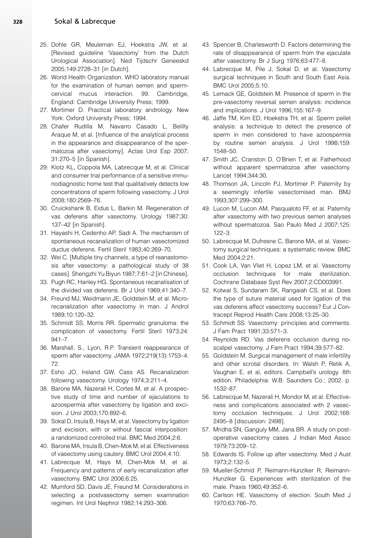- <span id="page-11-0"></span>25. Dohle GR, Meuleman EJ, Hoekstra JW, et al. [Revised guideline 'Vasectomy' from the Dutch Urological Association]. Ned Tijdschr Geneeskd 2005;149:2728–31 [in Dutch].
- 26. World Health Organization. WHO laboratory manual for the examination of human semen and spermcervical mucus interaction. 99. Cambridge, England: Cambridge University Press; 1999.
- 27. Mortimer D. Practical laboratory andrology. New York: Oxford University Press; 1994.
- 28. Chafer Rudilla M, Navarro Casado L, Belilty Araque M, et al. [Influence of the analytical process in the appearance and disappearance of the spermatozoa after vasectomy]. Actas Urol Esp 2007; 31:270–5 [in Spanish].
- 29. Klotz KL, Coppola MA, Labrecque M, et al. Clinical and consumer trial performance of a sensitive immunodiagnostic home test that qualitatively detects low concentrations of sperm following vasectomy. J Urol 2008;180:2569–76.
- 30. Cruickshank B, Eidus L, Barkin M. Regeneration of vas deferens after vasectomy. Urology 1987;30: 137–42 [in Spanish].
- 31. Hayashi H, Cedenho AP, Sadi A. The mechanism of spontaneous recanalization of human vasectomized ductus deferens. Fertil Steril 1983;40:269–70.
- 32. Wei C. [Multiple tiny channels, a type of reanastomosis after vasectomy: a pathological study of 38 cases]. Shengzhi Yu Biyun 1987;7:61–2 [in Chinese].
- 33. Pugh RC, Hanley HG. Spontaneous recanalisation of the divided vas deferens. Br J Urol 1969;41:340–7.
- 34. Freund MJ, Weidmann JE, Goldstein M, et al. Microrecanalization after vasectomy in man. J Androl 1989;10:120–32.
- 35. Schmidt SS, Morris RR. Spermatic granuloma: the complication of vasectomy. Fertil Steril 1973;24: 941–7.
- 36. Marshall, S., Lyon, R.P. Transient reappearance of sperm after vasectomy. JAMA 1972;219(13):1753–4. 72.
- 37. Esho JO, Ireland GW, Cass AS. Recanalization following vasectomy. Urology 1974;3:211–4.
- 38. Barone MA, Nazerali H, Cortes M, et al. A prospective study of time and number of ejaculations to azoospermia after vasectomy by ligation and excision. J Urol 2003;170:892–6.
- 39. Sokal D, Irsula B, Hays M, et al. Vasectomy by ligation and excision, with or without fascial interposition: a randomized controlled trial. BMC Med 2004;2:6.
- 40. Barone MA, Irsula B, Chen-Mok M, et al. Effectiveness of vasectomy using cautery. BMC Urol 2004;4:10.
- 41. Labrecque M, Hays M, Chen-Mok M, et al. Frequency and patterns of early recanalization after vasectomy. BMC Urol 2006;6:25.
- 42. Mumford SD, Davis JE, Freund M. Considerations in selecting a postvasectomy semen examination regimen. Int Urol Nephrol 1982;14:293–306.
- 43. Spencer B, Charlesworth D. Factors determining the rate of disappearance of sperm from the ejaculate after vasectomy. Br J Surg 1976;63:477–8.
- 44. Labrecque M, Pile J, Sokal D, et al. Vasectomy surgical techniques in South and South East Asia. BMC Urol 2005;5:10.
- 45. Lemack GE, Goldstein M. Presence of sperm in the pre-vasectomy reversal semen analysis: incidence and implications. J Urol 1996;155:167–9.
- 46. Jaffe TM, Kim ED, Hoekstra TH, et al. Sperm pellet analysis: a technique to detect the presence of sperm in men considered to have azoospermia by routine semen analysis. J Urol 1998;159: 1548–50.
- 47. Smith JC, Cranston D, O'Brien T, et al. Fatherhood without apparent spermatozoa after vasectomy. Lancet 1994;344:30.
- 48. Thomson JA, Lincoln PJ, Mortimer P. Paternity by a seemingly infertile vasectomised man. BMJ 1993;307:299–300.
- 49. Lucon M, Lucon AM, Pasqualoto FF, et al. Paternity after vasectomy with two previous semen analyses without spermatozoa. Sao Paulo Med J 2007;125: 122–3.
- 50. Labrecque M, Dufresne C, Barone MA, et al. Vasectomy surgical techniques: a systematic review. BMC Med 2004;2:21.
- 51. Cook LA, Van Vliet H, Lopez LM, et al. Vasectomy occlusion techniques for male sterilization. Cochrane Database Syst Rev 2007;2:CD003991.
- 52. Kotwal S, Sundaram SK, Rangaiah CS, et al. Does the type of suture material used for ligation of the vas deferens affect vasectomy success? Eur J Contracept Reprod Health Care 2008;13:25–30.
- 53. Schmidt SS. Vasectomy: principles and comments. J Fam Pract 1991;33:571–3.
- 54. Reynolds RD. Vas deferens occlusion during noscalpel vasectomy. J Fam Pract 1994;39:577–82.
- 55. Goldstein M. Surgical management of male infertility and other scrotal disorders. In: Walsh P, Retik A, Vaughan E, et al, editors. Campbell's urology. 8th edition. Philadelphia: W.B. Saunders Co.; 2002. p. 1532–87.
- 56. Labrecque M, Nazerali H, Mondor M, et al. Effectiveness and complications associated with 2 vasectomy occlusion techniques. J Urol 2002;168: 2495–8 [discussion: 2498].
- 57. Mridha SN, Ganguly MM, Jana BR. A study on postoperative vasectomy cases. J Indian Med Assoc 1979;73:209–12.
- 58. Edwards IS. Follow up after vasectomy. Med J Aust 1973;2:132–5.
- 59. Mueller-Schmid P, Reimann-Hunziker R, Reimann-Hunziker G. Experiences with sterilization of the male. Praxis 1960;49:352–6.
- 60. Carlson HE. Vasectomy of election. South Med J 1970;63:766–70.